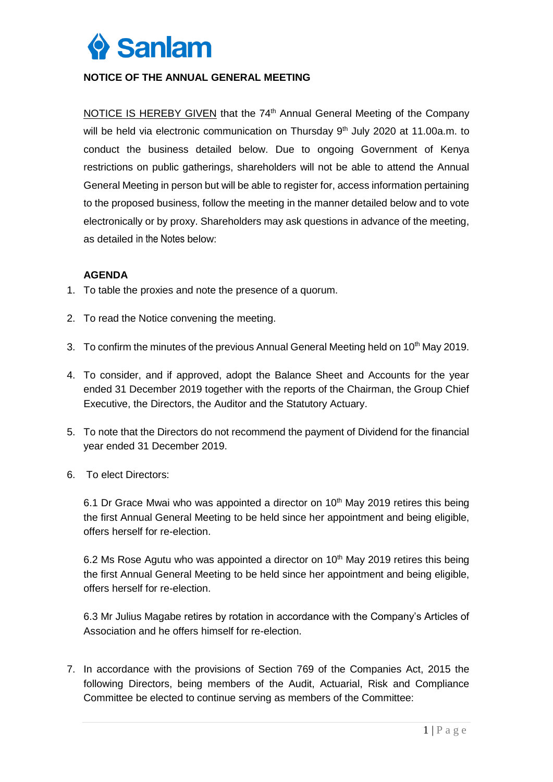

## **NOTICE OF THE ANNUAL GENERAL MEETING**

NOTICE IS HEREBY GIVEN that the 74<sup>th</sup> Annual General Meeting of the Company will be held via electronic communication on Thursday 9<sup>th</sup> July 2020 at 11.00a.m. to conduct the business detailed below. Due to ongoing Government of Kenya restrictions on public gatherings, shareholders will not be able to attend the Annual General Meeting in person but will be able to register for, access information pertaining to the proposed business, follow the meeting in the manner detailed below and to vote electronically or by proxy. Shareholders may ask questions in advance of the meeting, as detailed in the Notes below:

## **AGENDA**

- 1. To table the proxies and note the presence of a quorum.
- 2. To read the Notice convening the meeting.
- 3. To confirm the minutes of the previous Annual General Meeting held on 10<sup>th</sup> May 2019.
- 4. To consider, and if approved, adopt the Balance Sheet and Accounts for the year ended 31 December 2019 together with the reports of the Chairman, the Group Chief Executive, the Directors, the Auditor and the Statutory Actuary.
- 5. To note that the Directors do not recommend the payment of Dividend for the financial year ended 31 December 2019.
- 6. To elect Directors:

6.1 Dr Grace Mwai who was appointed a director on  $10<sup>th</sup>$  May 2019 retires this being the first Annual General Meeting to be held since her appointment and being eligible, offers herself for re-election.

6.2 Ms Rose Agutu who was appointed a director on  $10<sup>th</sup>$  May 2019 retires this being the first Annual General Meeting to be held since her appointment and being eligible, offers herself for re-election.

6.3 Mr Julius Magabe retires by rotation in accordance with the Company's Articles of Association and he offers himself for re-election.

7. In accordance with the provisions of Section 769 of the Companies Act, 2015 the following Directors, being members of the Audit, Actuarial, Risk and Compliance Committee be elected to continue serving as members of the Committee: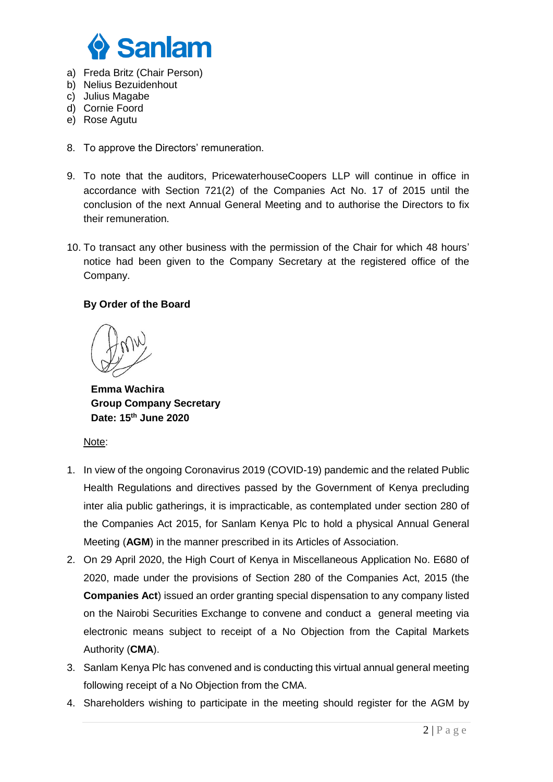

- a) Freda Britz (Chair Person)
- b) Nelius Bezuidenhout
- c) Julius Magabe
- d) Cornie Foord
- e) Rose Agutu
- 8. To approve the Directors' remuneration.
- 9. To note that the auditors, PricewaterhouseCoopers LLP will continue in office in accordance with Section 721(2) of the Companies Act No. 17 of 2015 until the conclusion of the next Annual General Meeting and to authorise the Directors to fix their remuneration.
- 10. To transact any other business with the permission of the Chair for which 48 hours' notice had been given to the Company Secretary at the registered office of the Company.

## **By Order of the Board**

**Emma Wachira Group Company Secretary Date: 15th June 2020**

Note:

- 1. In view of the ongoing Coronavirus 2019 (COVID-19) pandemic and the related Public Health Regulations and directives passed by the Government of Kenya precluding inter alia public gatherings, it is impracticable, as contemplated under section 280 of the Companies Act 2015, for Sanlam Kenya Plc to hold a physical Annual General Meeting (**AGM**) in the manner prescribed in its Articles of Association.
- 2. On 29 April 2020, the High Court of Kenya in Miscellaneous Application No. E680 of 2020, made under the provisions of Section 280 of the Companies Act, 2015 (the **Companies Act**) issued an order granting special dispensation to any company listed on the Nairobi Securities Exchange to convene and conduct a general meeting via electronic means subject to receipt of a No Objection from the Capital Markets Authority (**CMA**).
- 3. Sanlam Kenya Plc has convened and is conducting this virtual annual general meeting following receipt of a No Objection from the CMA.
- 4. Shareholders wishing to participate in the meeting should register for the AGM by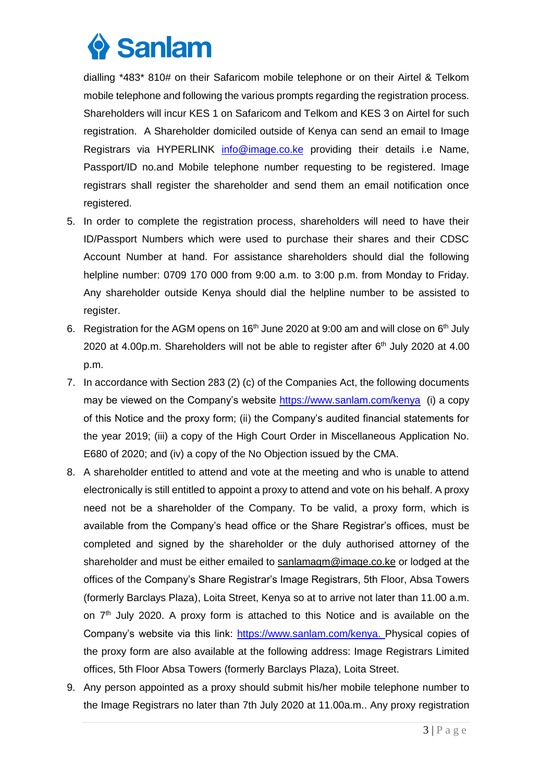

dialling \*483\* 810# on their Safaricom mobile telephone or on their Airtel & Telkom mobile telephone and following the various prompts regarding the registration process. Shareholders will incur KES 1 on Safaricom and Telkom and KES 3 on Airtel for such registration. A Shareholder domiciled outside of Kenya can send an email to Image Registrars via HYPERLINK info@image.co.ke providing their details i.e Name, Passport/ID no.and Mobile telephone number requesting to be registered. Image registrars shall register the shareholder and send them an email notification once registered.

- 5. In order to complete the registration process, shareholders will need to have their ID/Passport Numbers which were used to purchase their shares and their CDSC Account Number at hand. For assistance shareholders should dial the following helpline number: 0709 170 000 from 9:00 a.m. to 3:00 p.m. from Monday to Friday. Any shareholder outside Kenya should dial the helpline number to be assisted to register.
- 6. Registration for the AGM opens on  $16<sup>th</sup>$  June 2020 at 9:00 am and will close on  $6<sup>th</sup>$  July 2020 at 4.00p.m. Shareholders will not be able to register after  $6<sup>th</sup>$  July 2020 at 4.00 p.m.
- 7. In accordance with Section 283 (2) (c) of the Companies Act, the following documents may be viewed on the Company's website<https://www.sanlam.com/kenya> (i) a copy of this Notice and the proxy form; (ii) the Company's audited financial statements for the year 2019; (iii) a copy of the High Court Order in Miscellaneous Application No. E680 of 2020; and (iv) a copy of the No Objection issued by the CMA.
- 8. A shareholder entitled to attend and vote at the meeting and who is unable to attend electronically is still entitled to appoint a proxy to attend and vote on his behalf. A proxy need not be a shareholder of the Company. To be valid, a proxy form, which is available from the Company's head office or the Share Registrar's offices, must be completed and signed by the shareholder or the duly authorised attorney of the shareholder and must be either emailed to [sanlamagm@image.co.ke](mailto:sanlamagm@image.co.ke) or lodged at the offices of the Company's Share Registrar's Image Registrars, 5th Floor, Absa Towers (formerly Barclays Plaza), Loita Street, Kenya so at to arrive not later than 11.00 a.m. on  $7<sup>th</sup>$  July 2020. A proxy form is attached to this Notice and is available on the Company's website via this link: [https://www.sanlam.com/kenya.](https://www.sanlam.com/kenya) Physical copies of the proxy form are also available at the following address: Image Registrars Limited offices, 5th Floor Absa Towers (formerly Barclays Plaza), Loita Street.
- 9. Any person appointed as a proxy should submit his/her mobile telephone number to the Image Registrars no later than 7th July 2020 at 11.00a.m.. Any proxy registration